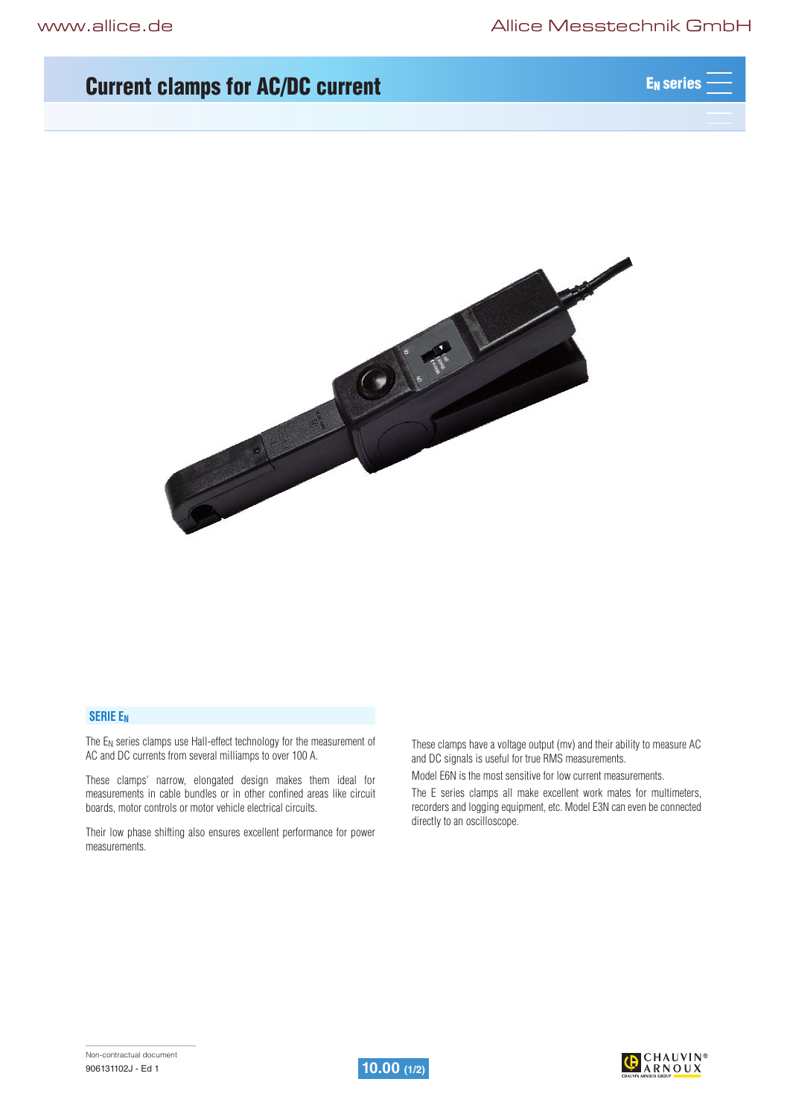# Current clamps for AC/DC current And AC AC ACTES AND ACTES AND REASERED AT A REAL EXISTENCY



## **SERIE EN**

The E<sub>N</sub> series clamps use Hall-effect technology for the measurement of AC and DC currents from several milliamps to over 100 A.

These clamps' narrow, elongated design makes them ideal for measurements in cable bundles or in other confined areas like circuit boards, motor controls or motor vehicle electrical circuits.

Their low phase shifting also ensures excellent performance for power measurements.

These clamps have a voltage output (mv) and their ability to measure AC and DC signals is useful for true RMS measurements.

Model E6N is the most sensitive for low current measurements.

The E series clamps all make excellent work mates for multimeters, recorders and logging equipment, etc. Model E3N can even be connected directly to an oscilloscope.



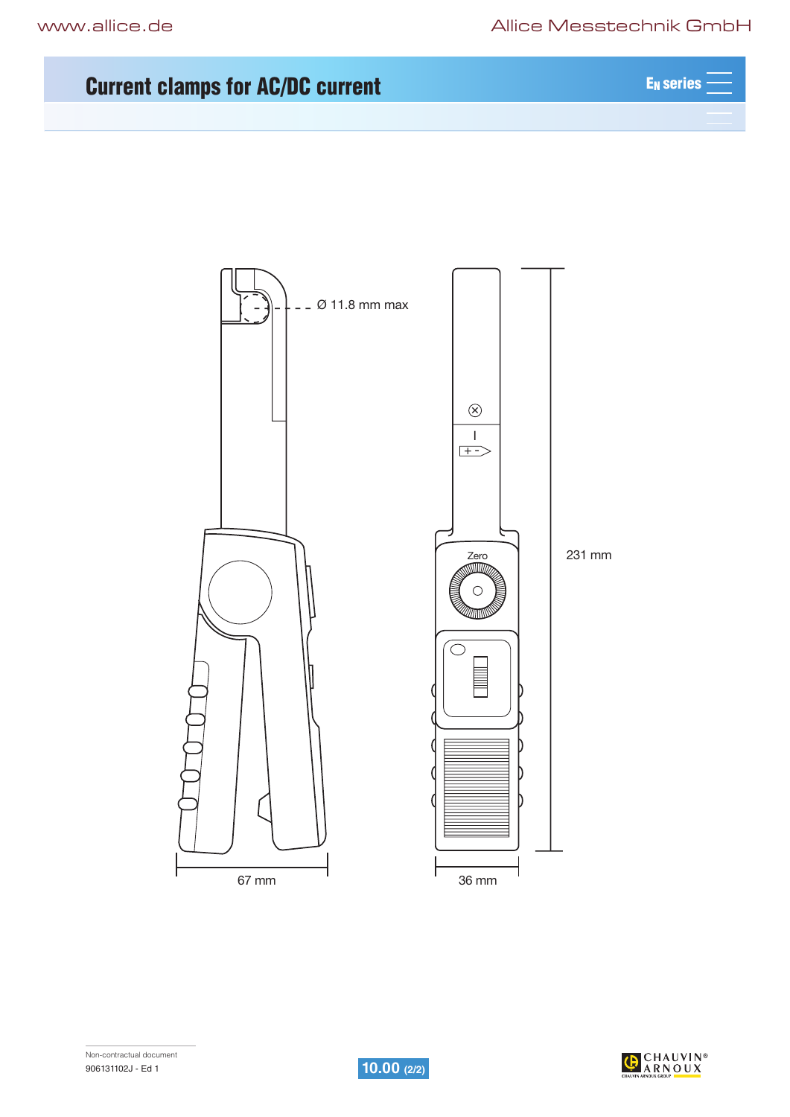# Current clamps for AC/DC current And AC AC ACTES AND ACTES AND REASERED AT A REAL EXISTENCY



Non-contractual document



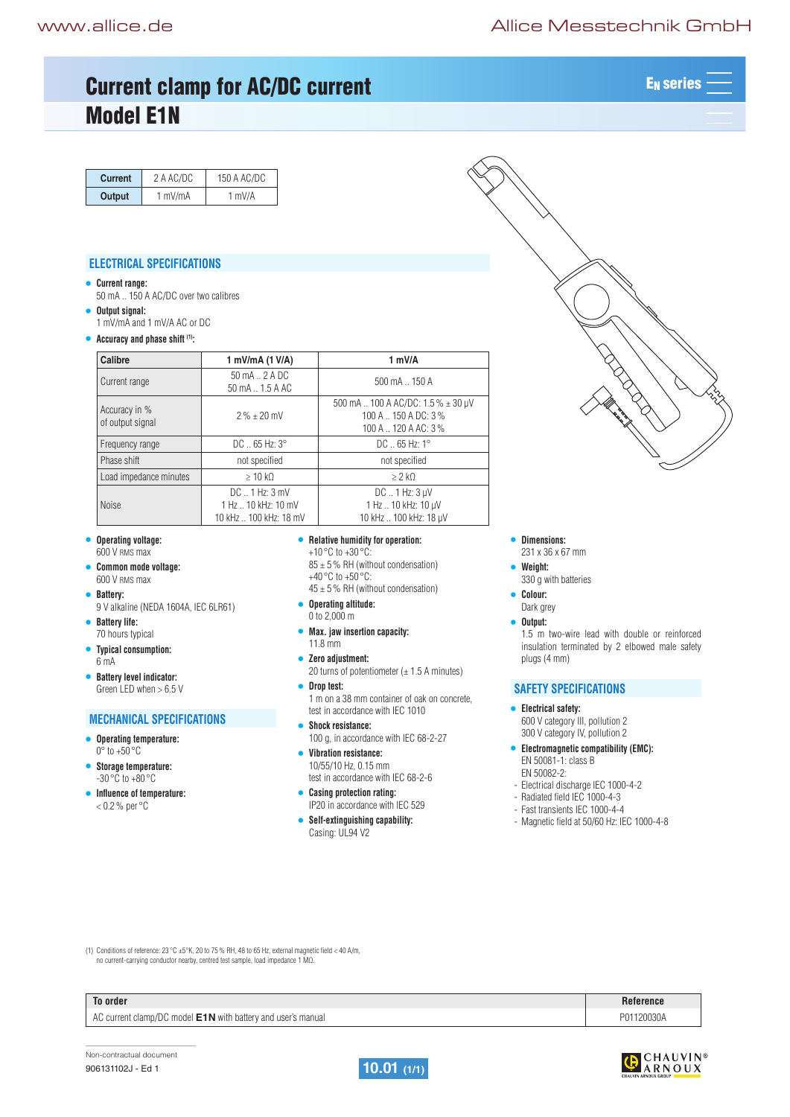# www.allice.de Allice Messtechnik GmbH

# Current clamp for AC/DC current ACT ACT ACTES AND ACTES ARE RESERVED ON A LATE MAN AND ACTES Model E1N

| <b>Current</b>                    | 2 A AC/DC                            | 150 A AC/DC                                           |                                                                                             |
|-----------------------------------|--------------------------------------|-------------------------------------------------------|---------------------------------------------------------------------------------------------|
| Output                            | 1 mV/mA                              | 1 mV/A                                                |                                                                                             |
|                                   | <b>ELECTRICAL SPECIFICATIONS</b>     |                                                       |                                                                                             |
| <b>Current range:</b>             |                                      |                                                       |                                                                                             |
|                                   | 50 mA  150 A AC/DC over two calibres |                                                       |                                                                                             |
| Output signal:                    |                                      |                                                       |                                                                                             |
|                                   | 1 mV/mA and 1 mV/A AC or DC          |                                                       |                                                                                             |
|                                   | Accuracy and phase shift (1):        |                                                       |                                                                                             |
| Calibre                           |                                      | 1 mV/mA (1 V/A)                                       | 1 mV/A                                                                                      |
| Current range                     |                                      | $50 \text{ mA}$ . $2 \text{ A}$ DC<br>50 mA  1.5 A AC | $500 \text{ mA}$ $\ldots$ 150 A                                                             |
| Accuracy in %<br>of output signal |                                      | $2\% + 20$ mV                                         | 500 mA  100 A AC/DC: 1.5 % ± 30 µV<br>$100 A$ $\ldots$ 150 A DC: 3%<br>100 A  120 A AC: 3 % |
| Frequency range                   |                                      | $DC$ 65 Hz: $3^{\circ}$                               | $DC$ 65 Hz: 1 $^{\circ}$                                                                    |
| Phase shift                       |                                      | not specified                                         | not specified                                                                               |
| Load impedance minutes            |                                      | $\geq 10$ kO                                          | $\geq$ 2 kO                                                                                 |
|                                   |                                      |                                                       |                                                                                             |



- **• Operating voltage:**  600 V RMS max
- **• Common mode voltage:**  600 V RMS max
- **• Battery:**
- 9 V alkaline (NEDA 1604A, IEC 6LR61)
- **• Battery life:**  70 hours typical
- **• Typical consumption:**  6 mA
- **• Battery level indicator:**  Green LED when > 6.5 V

## **MECHANICAL SPECIFICATIONS**

- **• Operating temperature:**  0° to +50 °C
- **• Storage temperature:**   $-30^\circ \text{C}$  to  $+80^\circ \text{C}$
- **• Influence of temperature:**  $< 0.2$ % per  $\degree$ C

## **• Relative humidity for operation:**

+10 °C to +30 °C:  $85 \pm 5$  % RH (without condensation) +40 °C to +50 °C:

- $45 \pm 5$  % RH (without condensation)
- **• Operating altitude:**  0 to 2,000 m
- **• Max. jaw insertion capacity:**  11.8 mm
- **• Zero adjustment:**  20 turns of potentiometer  $(\pm 1.5 \text{ A minutes})$

**• Drop test:**  1 m on a 38 mm container of oak on concrete, test in accordance with IEC 1010

- **• Shock resistance:**  100 g, in accordance with IEC 68-2-27 **• Vibration resistance:**
- 10/55/10 Hz, 0.15 mm test in accordance with IEC 68-2-6
- **• Casing protection rating:**  IP20 in accordance with IEC 529
- **• Self-extinguishing capability:**  Casing: UL94 V2

# **• Dimensions:**

- 231 x 36 x 67 mm
- **• Weight:**  330 g with batteries
- **• Colour:**
- Dark grey
- **• Output:**

1.5 m two-wire lead with double or reinforced insulation terminated by 2 elbowed male safety plugs (4 mm)

## **SAFETY SPECIFICATIONS**

- **• Electrical safety:** 600 V category III, pollution 2
- 300 V category IV, pollution 2 **• Electromagnetic compatibility (EMC):** EN 50081-1: class B
- EN 50082-2:
- Electrical discharge IEC 1000-4-2
- Radiated field IEC 1000-4-3
- Fast transients IEC 1000-4-4
- Magnetic field at 50/60 Hz: IEC 1000-4-8

(1) Conditions of reference:  $23^{\circ}$ C ±5°K, 20 to 75 % RH, 48 to 65 Hz, external magnetic field < 40 A/m, no current-carrying conductor nearby, centred test sample, load impedance 1 MΩ.

| To order | Reference |
|----------|-----------|
|          |           |

AC current clamp/DC model **E1N** with battery and user's manual **P01120030A** P01120030A





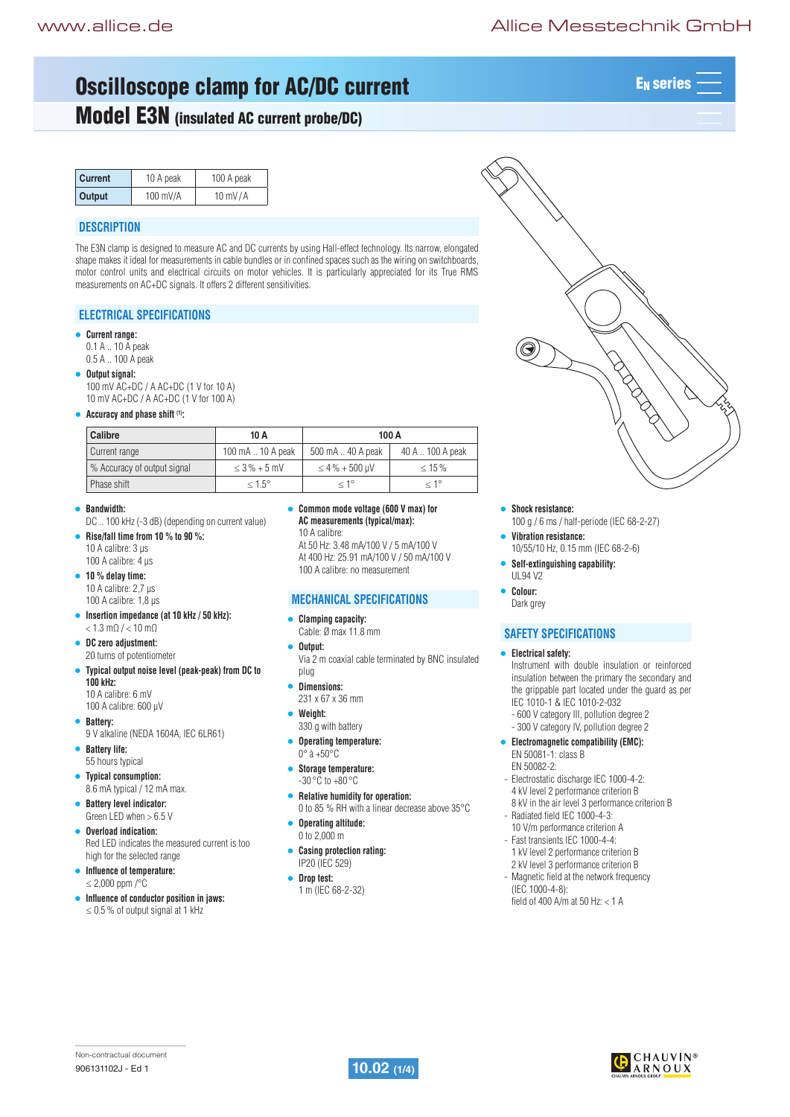EN series

# Oscilloscope clamp for AC/DC current And Account Manual Manual Manual Manual Manual Manual Manual Manual Manua

# Model E3N (insulated AC current probe/DC)

| <b>Current</b> | 10 A peak  | 100 A peak        |  |
|----------------|------------|-------------------|--|
| <b>Output</b>  | $100$ mV/A | $10 \text{ mV/A}$ |  |

## **DESCRIPTION**

The E3N clamp is designed to measure AC and DC currents by using Hall-effect technology. Its narrow, elongated shape makes it ideal for measurements in cable bundles or in confined spaces such as the wiring on switchboards, motor control units and electrical circuits on motor vehicles. It is particularly appreciated for its True RMS measurements on AC+DC signals. It offers 2 different sensitivities.

## **ELECTRICAL SPECIFICATIONS**

#### **• Current range:**

0.1 A .. 10 A peak 0.5 A .. 100 A peak

- **• Output signal:** 
	- 100 mV AC+DC / A AC+DC (1 V for 10 A) 10 mV AC+DC / A AC+DC (1 V for 100 A)
- **• Accuracy and phase shift (1):**

| Calibre                     | 10 A               | 100 A               |                  |
|-----------------------------|--------------------|---------------------|------------------|
| Current range               | 100 mA  10 A peak  | 500 mA  40 A peak   | 40 A  100 A peak |
| % Accuracy of output signal | $\leq$ 3 % + 5 mV  | $\leq 4\% + 500$ µV | $\leq 15\%$      |
| Phase shift                 | $\leq 1.5^{\circ}$ | $< 1^{\circ}$       | $< 1^{\circ}$    |

- **• Bandwidth:** 
	- DC .. 100 kHz (-3 dB) (depending on current value)
- **• Rise/fall time from 10 % to 90 %:** 10 A calibre: 3 µs 100 A calibre: 4 µs
- **• 10 % delay time:** 10 A calibre: 2,7 µs
	- 100 A calibre: 1,8 µs
- **• Insertion impedance (at 10 kHz / 50 kHz):**  $< 1.3$  mO  $/ < 10$  mO
- **• DC zero adjustment:** 20 turns of potentiometer
- **• Typical output noise level (peak-peak) from DC to 100 kHz:** 10 A calibre: 6 mV
	- 100 A calibre: 600 µV
- **• Battery:**
- 9 V alkaline (NEDA 1604A, IEC 6LR61)
- **• Battery life:**  55 hours typical
- **• Typical consumption:** 8.6 mA typical / 12 mA max.
- **• Battery level indicator:** Green LED when  $> 6.5$  V
- **• Overload indication:** Red LED indicates the measured current is too
- high for the selected range **• Influence of temperature:**  $< 2,000$  ppm /°C
- 
- **• Influence of conductor position in jaws:**  $\leq$  0.5 % of output signal at 1 kHz

**• Common mode voltage (600 V max) for AC measurements (typical/max):** 10 A calibre:

At 50 Hz: 3.48 mA/100 V / 5 mA/100 V At 400 Hz: 25.91 mA/100 V / 50 mA/100 V 100 A calibre: no measurement

## **MECHANICAL SPECIFICATIONS**

#### **• Clamping capacity:**

- Cable: Ø max 11.8 mm
- **• Output:**
- Via 2 m coaxial cable terminated by BNC insulated plug
- **• Dimensions:**
- 231 x 67 x 36 mm
- **• Weight:**
- 330 g with battery **• Operating temperature:**
- $0^\circ$  à  $+50^\circ$ C
- **• Storage temperature:**  -30 °C to +80 °C
- **• Relative humidity for operation:** 0 to 85 % RH with a linear decrease above 35°C
- **• Operating altitude:**  0 to 2,000 m
- **• Casing protection rating:** IP20 (IEC 529)
- **• Drop test:**
- 1 m (IEC 68-2-32)
- **• Shock resistance:**
- 100 g / 6 ms / half-periode (IEC 68-2-27) **• Vibration resistance:**
- 10/55/10 Hz, 0.15 mm (IEC 68-2-6)
- **• Self-extinguishing capability:**  UL94 V2
- **• Colour:**  Dark grey

## **SAFETY SPECIFICATIONS**

- **• Electrical safety:** Instrument with double insulation or reinforced insulation between the primary the secondary and the grippable part located under the guard as per
	- IEC 1010-1 & IEC 1010-2-032
	- 600 V category III, pollution degree 2
	- 300 V category IV, pollution degree 2
- **• Electromagnetic compatibility (EMC):** EN 50081-1: class B EN 50082-2:
- Electrostatic discharge IEC 1000-4-2: 4 kV level 2 performance criterion B 8 kV in the air level 3 performance criterion B
- Radiated field IEC 1000-4-3: 10 V/m performance criterion A
- Fast transients IEC 1000-4-4: 1 kV level 2 performance criterion B 2 kV level 3 performance criterion B
- Magnetic field at the network frequency (IEC 1000-4-8):
- field of 400 A/m at 50 Hz:  $<$  1 A



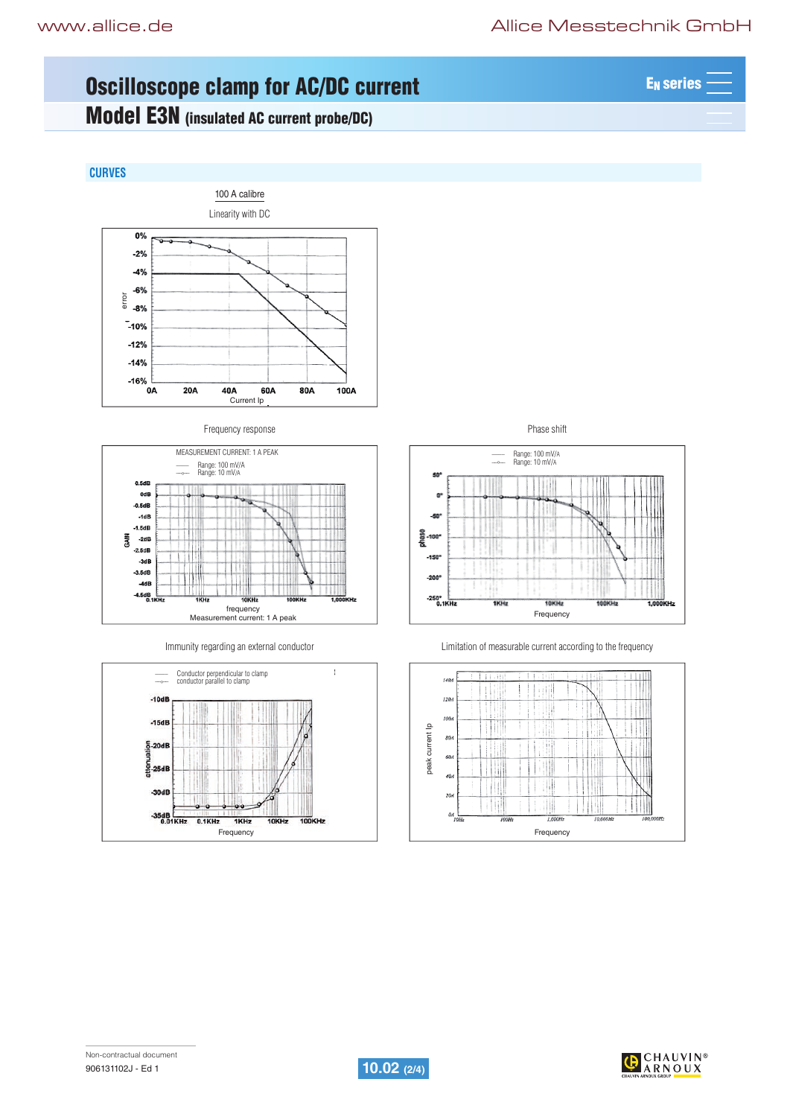E<sub>N</sub> series –

# Pinces ampèremetriques pour courant AC Serie MN Oscilloscope clamp for AC/DC current

# Model E3N (insulated AC current probe/DC)

# **CURVES**











Immunity regarding an external conductor **Limitation** of measurable current according to the frequency



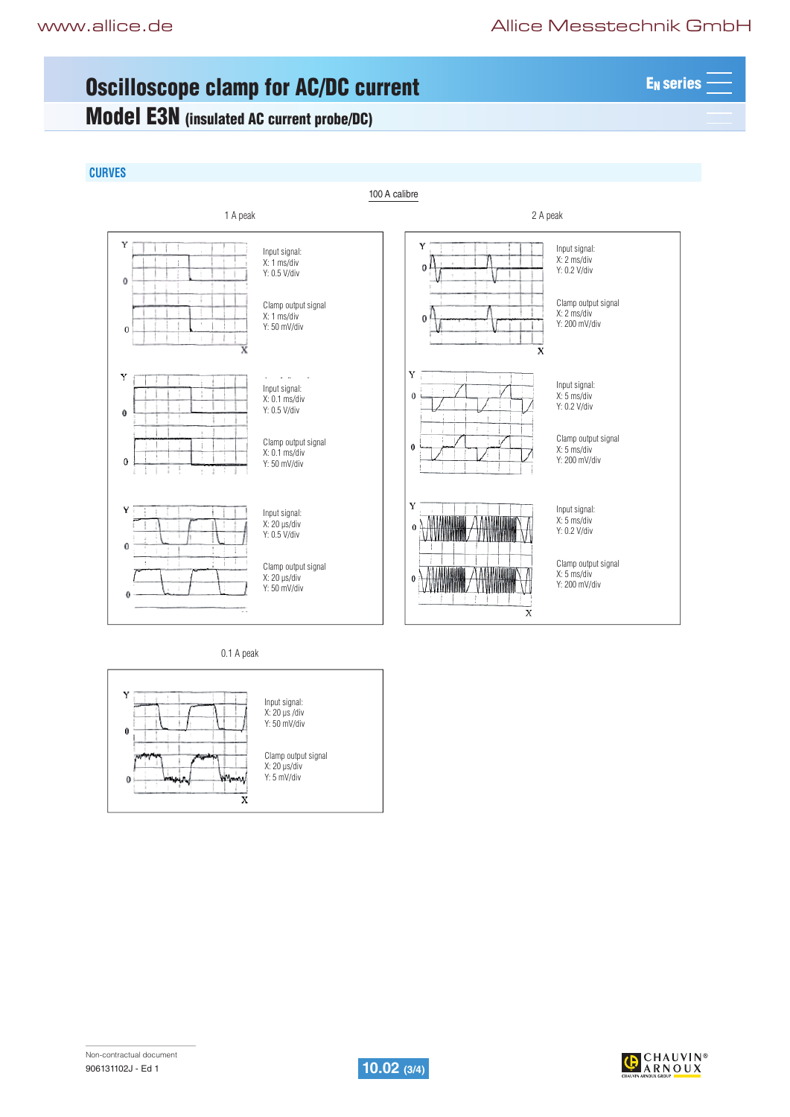EN series

# Pinces ampèremetriques pour courant AC Serie MN Oscilloscope clamp for AC/DC current

# Model E3N (insulated AC current probe/DC)

## **CURVES**



0.1 A peak





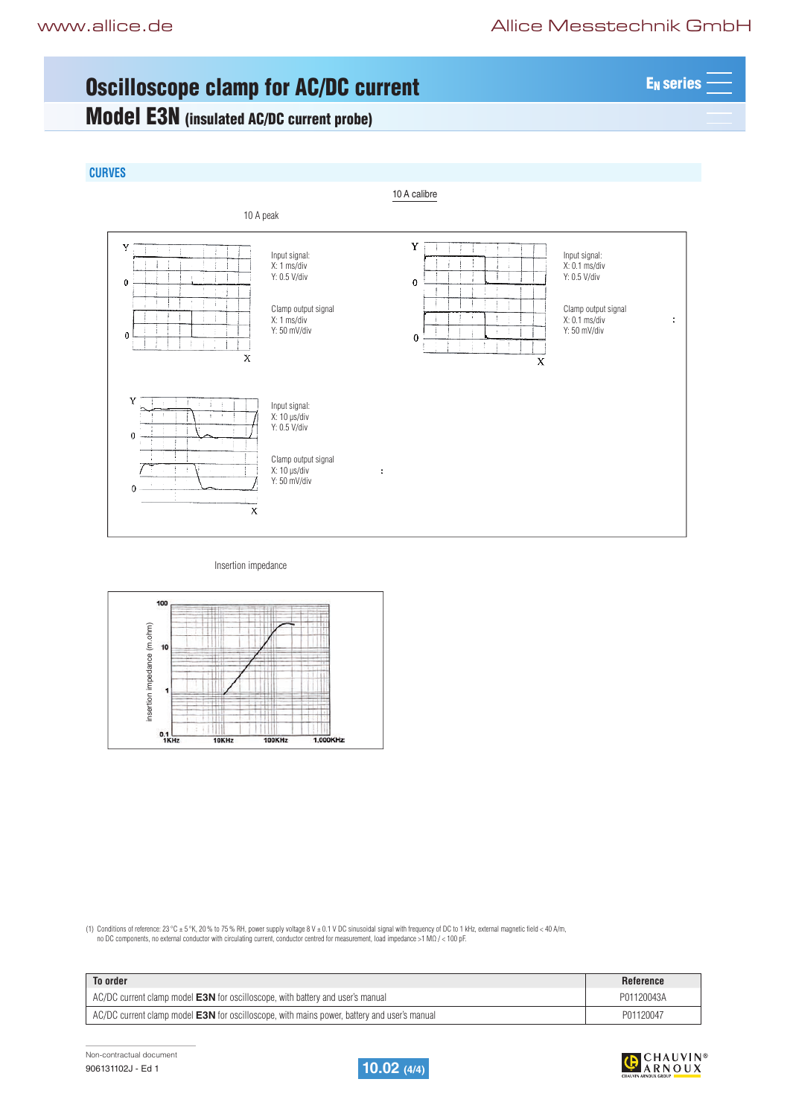EN series

# Pinces ampèremetriques pour courant AC Serie MN Oscilloscope clamp for AC/DC current

# Model E3N (insulated AC/DC current probe)

## **CURVES**



#### Insertion impedance



(1) Conditions of reference: 23 °C ± 5 °K, 20 % to 75 % RH, power supply voltage 8 V ± 0.1 V DC sinusoidal signal with frequency of DC to 1 kHz, external magnetic field < 40 A/m,<br>πο DC components, no external conductor wi

| To order                                                                                           | <b>Reference</b> |
|----------------------------------------------------------------------------------------------------|------------------|
| AC/DC current clamp model <b>E3N</b> for oscilloscope, with battery and user's manual              | P01120043A       |
| AC/DC current clamp model <b>E3N</b> for oscilloscope, with mains power, battery and user's manual | P01120047        |

Non-contractual document 906131102J - Ed 1 **10.02 (4/4)**



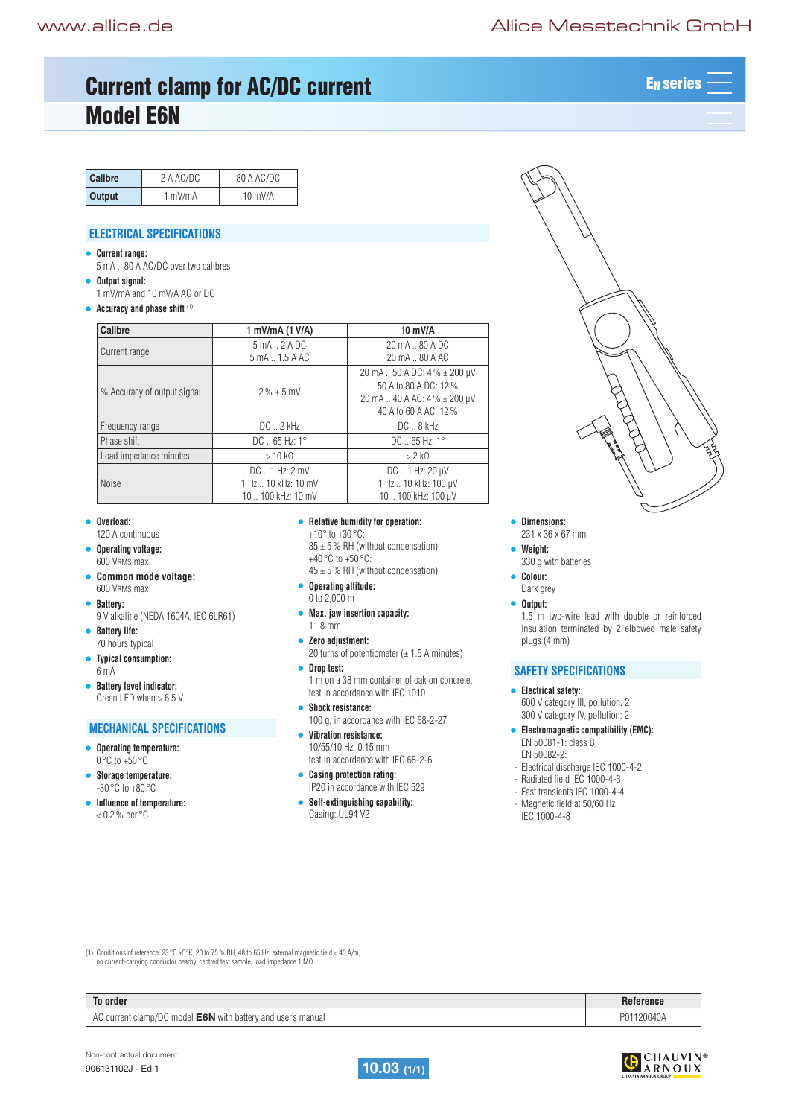# Current clamp for AC/DC current ACT ACT ACTES AND ACTES ARE RESERVED ON A LATE MAN AND ACTES Model E6N

| Calibre | 2 A AC/DC | 80 A AC/DC |
|---------|-----------|------------|
| Output  | 1 mV/mA   | $10$ mV/A  |

## **ELECTRICAL SPECIFICATIONS**

- **• Current range:**
- 5 mA .. 80 A AC/DC over two calibres **• Output signal:**
- 1 mV/mA and 10 mV/A AC or DC
- **• Accuracy and phase shift** (1):

| Calibre                     | 1 mV/mA (1 V/A)                                                      | 10 mV/A                                                                                                                    |  |
|-----------------------------|----------------------------------------------------------------------|----------------------------------------------------------------------------------------------------------------------------|--|
| Current range               | $5 \text{ mA}$ . $2 \text{ A}$ DC<br>5 mA  1.5 A AC                  | 20 mA  80 A DC<br>20 mA  80 A AC                                                                                           |  |
| % Accuracy of output signal | $2\% + 5$ mV                                                         | 20 mA  50 A DC: 4 % ± 200 µV<br>50 A to 80 A DC: 12 %<br>20 mA $\ldots$ 40 A AC: 4 % $\pm$ 200 µV<br>40 A to 60 A AC: 12 % |  |
| Frequency range             | $DC \dots 2$ kHz                                                     | $DC \dots 8$ kHz                                                                                                           |  |
| Phase shift                 | $DC = 65 Hz: 1^{\circ}$                                              | $DC = 65 Hz: 1^{\circ}$                                                                                                    |  |
| Load impedance minutes      | $>10 k\Omega$                                                        | $>2$ kO                                                                                                                    |  |
| <b>Noise</b>                | $DC \dots 1$ Hz: $2$ mV<br>1 Hz  10 kHz: 10 mV<br>10  100 kHz: 10 mV | $DC$ 1 Hz: $20 \mu V$<br>1 Hz  10 kHz: 100 µV<br>10  100 kHz: 100 µV                                                       |  |

- **• Overload:**
- 120 A continuous **• Operating voltage:**
- 600 VRMS max
- **• Common mode voltage:**  600 VRMS max
- **• Battery:**  9 V alkaline (NEDA 1604A, IEC 6LR61)
- **• Battery life:**  70 hours typical
- **• Typical consumption:**  6 mA
- **• Battery level indicator:**  Green LED when > 6.5 V

### **MECHANICAL SPECIFICATIONS**

- **• Operating temperature:**   $0^{\circ}$ C to +50  $^{\circ}$ C
- **• Storage temperature:**  -30 °C to +80 °C
- **Influence of temperature:**  $<$  0.2 % per  $^{\circ}$ C

#### **• Relative humidity for operation:**

- $+10^{\circ}$  to  $+30^{\circ}$ C:
- $85 \pm 5$  % RH (without condensation) +40 °C to +50 °C:
- $45 \pm 5$  % RH (without condensation)
- **• Operating altitude:**  0 to 2,000 m
- **• Max. jaw insertion capacity:**  11.8 mm
- **• Zero adjustment:** 
	- 20 turns of potentiometer ( $\pm$  1.5 A minutes)
- **• Drop test:**  1 m on a 38 mm container of oak on concrete, test in accordance with IEC 1010
- **• Shock resistance:**  100 g, in accordance with IEC 68-2-27
- **• Vibration resistance:**  10/55/10 Hz, 0.15 mm test in accordance with IEC 68-2-6
- **• Casing protection rating:**  IP20 in accordance with IEC 529
- **• Self-extinguishing capability:**  Casing: UL94 V2

#### **• Dimensions:**

- 231 x 36 x 67 mm
- **• Weight:**
- 330 g with batteries
- **• Colour:**  Dark grey
- **• Output:**

1.5 m two-wire lead with double or reinforced insulation terminated by 2 elbowed male safety plugs (4 mm)

## **SAFETY SPECIFICATIONS**

- **• Electrical safety:** 600 V category III, pollution: 2
- 300 V category IV, pollution: 2 **• Electromagnetic compatibility (EMC):**
	- EN 50081-1: class B EN 50082-2:
- Electrical discharge IEC 1000-4-2
- Radiated field IEC 1000-4-3
- Fast transients IEC 1000-4-4
- Magnetic field at 50/60 Hz IEC 1000-4-8

(1) Conditions of reference:  $23^{\circ}$ C ±5°K, 20 to 75% RH, 48 to 65 Hz, external magnetic field < 40 A/m, no current-carrying conductor nearby, centred test sample, load impedance 1 MΩ

| To order | Reference |
|----------|-----------|
|          |           |

AC current clamp/DC model **E6N** with battery and user's manual **P01120040A** P01120040A